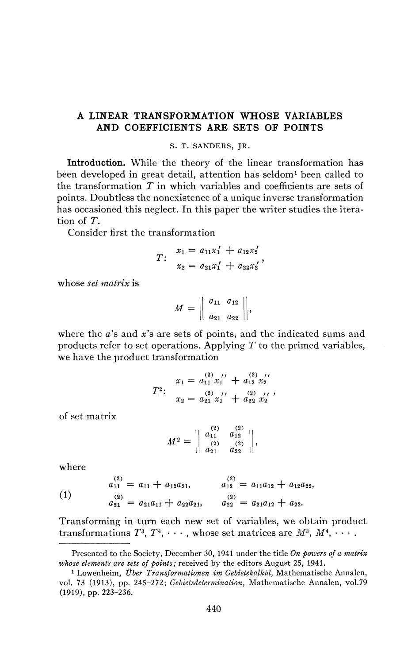## **A LINEAR TRANSFORMATION WHOSE VARIABLES AND COEFFICIENTS ARE SETS OF POINTS**

## S. T. SANDERS, JR.

**Introduction.** While the theory of the linear transformation has been developed in great detail, attention has seldom<sup>1</sup> been called to the transformation *T* in which variables and coefficients are sets of points. Doubtless the nonexistence of a unique inverse transformation has occasioned this neglect. In this paper the writer studies the iteration of *T.* 

Consider first the transformation

$$
T: \begin{array}{l} x_1 = a_{11}x_1' + a_{12}x_2' \\ x_2 = a_{21}x_1' + a_{22}x_2' \end{array}
$$

whose *set matrix* is

$$
M = \left\| \begin{array}{cc} a_{11} & a_{12} \\ a_{21} & a_{22} \end{array} \right\|,
$$

where the a's and x's are sets of points, and the indicated sums and products refer to set operations. Applying *T* to the primed variables, we have the product transformation

$$
T^{2}: \quad x_{1} = a_{11}^{(2)} x_{1}' + a_{12}^{(2)} x_{2}'
$$
\n
$$
T^{2}: \quad x_{2} = a_{21}^{(2)} x_{1}' + a_{22}^{(2)} x_{2}' ,
$$

of set matrix

$$
M^{2} = \begin{vmatrix} a_{11}^{(2)} & a_{12}^{(2)} \\ a_{21}^{(2)} & a_{22}^{(2)} \end{vmatrix},
$$

where

**(i)**   $a_{11}^{(2)} = a_{11} + a_{12}a_{21}, \qquad a_{12}^{(2)} = a_{11}a_{12} + a_{12}a_{22},$  $a_{21}^{(2)} = a_{21}a_{11} + a_{22}a_{21}$ ,  $a_{22}^{(2)} = a_{21}a_{12} + a_{22}$ .

Transforming in turn each new set of variables, we obtain product transformations  $T^3$ ,  $T^4$ ,  $\cdots$ , whose set matrices are  $M^3$ ,  $M^4$ ,  $\cdots$ .

Presented to the Society, December 30, 1941 under the title *On powers of a matrix whose elements are sets of points;* received by the editors August 25, 1941.

<sup>1</sup> Lowenheim, *Über Transformationen im Gebietekalkül,* Mathematische Annalen, vol. 73 (1913), pp. 245-272; *Gebietsdetermination,* Mathematische Annalen, vol.79 (1919), pp. 223-236.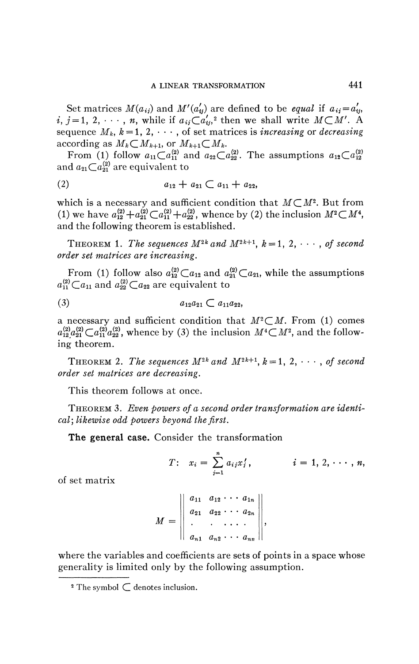Set matrices  $M(a_{ij})$  and  $M'(a'_{ij})$  are defined to be *equal* if  $a_{ij} = a'_{ij}$ ,  $i, j = 1, 2, \dots, n$ , while if  $a_{ij} \subset a'_{ij}$  then we shall write  $M \subset M'$ . A sequence  $M_k$ ,  $k=1, 2, \cdots$ , of set matrices is *increasing* or *decreasing* according as  $M_k \subset M_{k+1}$ , or  $M_{k+1} \subset M_k$ .

From (1) follow  $a_{11}C a_{11}^{(2)}$  and  $a_{22}C a_{22}^{(2)}$ . The assumptions  $a_{12}C a_{12}^{(2)}$ and  $a_{21}Ca_{21}^{(2)}$  are equivalent to

$$
(2) \t a_{12} + a_{21} \subset a_{11} + a_{22},
$$

which is a necessary and sufficient condition that  $M \subset M^2$ . But from (1) we have  $a_{12}^{(2)} + a_{21}^{(2)} \text{ } \text{ } \text{ } \text{ } \text{ } \text{ } \text{ } \text{ } a_{11}^{(2)} + a_{22}^{(2)}$ , whence by (2) the inclusion  $M^2 \text{ } \text{ } \text{ } M^4$ , and the following theorem is established.

THEOREM 1. The sequences  $M^{2k}$  and  $M^{2k+1}$ ,  $k = 1, 2, \dots$ , of second *order set matrices are increasing.* 

From (1) follow also  $a^{(2)}_{12} \text{ } \text{ } C \text{ } a_{12}$  and  $a^{(2)}_{21} \text{ } \text{ } C \text{ } a_{21}$ , while the assumptions  $a_{11}^{(2)} \text{C} a_{11}$  and  $a_{22}^{(2)} \text{C} a_{22}$  are equivalent to

$$
(3) \t a_{12}a_{21} \subset a_{11}a_{22},
$$

a necessary and sufficient condition that  $M^2 \subset M$ . From (1) comes  $a_{12}^{(2)}a_{21}^{(2)}\mathcal{C}a_{11}^{(2)}a_{22}^{(2)}$ , whence by (3) the inclusion  $M^{4}\mathcal{C}M^{2}$ , and the following theorem.

THEOREM 2. The sequences  $M^{2k}$  and  $M^{2k+1}$ ,  $k = 1, 2, \dots$ , of second *order set matrices are decreasing.* 

This theorem follows at once.

THEOREM 3. *Even powers of a second order transformation are identical] likewise odd powers beyond the first.* 

**The general case.** Consider the transformation

$$
T: x_i = \sum_{j=1}^n a_{ij} x'_j, \qquad i = 1, 2, \cdots, n,
$$

of set matrix

$$
M = \left\| \begin{array}{ccc} a_{11} & a_{12} & \cdots & a_{1n} \\ a_{21} & a_{22} & \cdots & a_{2n} \\ \vdots & \vdots & \ddots & \vdots \\ a_{n1} & a_{n2} & \cdots & a_{nn} \end{array} \right\|,
$$

where the variables and coefficients are sets of points in a space whose generality is limited only by the following assumption.

<sup>&</sup>lt;sup>2</sup> The symbol  $\subset$  denotes inclusion.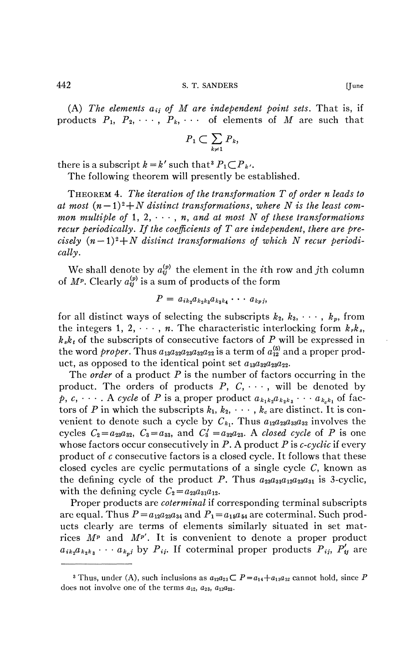442 S. T. SANDERS [June

(A) The elements  $a_{ij}$  of M are independent point sets. That is, if products  $P_1$ ,  $P_2$ ,  $\cdots$ ,  $P_k$ ,  $\cdots$  of elements of *M* are such that

$$
P_1 \subset \sum_{k \neq 1} P_k
$$

there is a subscript  $k = k'$  such that  $P_1 \subset P_{k'}$ .

The following theorem will presently be established.

THEOREM 4. *The iteration of the transformation T of order n leads to*  at most  $(n-1)^2 + N$  distinct transformations, where N is the least com*mon multiple of* 1, 2,  $\cdots$ , *n, and at most N of these transformations recur periodically. If the coefficients of T are independent, there are pre* $cisely (n-1)<sup>2</sup>+N distinct transformations of which N recur periodi$ *cally.* 

We shall denote by  $a_{ij}^{(p)}$  the element in the *i*th row and *j*th column of  $M^p$ . Clearly  $a_{ij}^{(p)}$  is a sum of products of the form

$$
P = a_{ik_2}a_{k_2k_3}a_{k_3k_4}\cdots a_{kpj},
$$

for all distinct ways of selecting the subscripts  $k_2, k_3, \dots, k_p$ , from the integers 1, 2,  $\dots$ , *n*. The characteristic interlocking form  $k_r k_s$ ,  $k_{s}k_{t}$  of the subscripts of consecutive factors of P will be expressed in the word *proper*. Thus  $a_{13}a_{32}a_{23}a_{32}a_{22}$  is a term of  $a_{12}^{(5)}$  and a proper product, as opposed to the identical point set  $a_{13}a_{22}a_{23}a_{22}$ .

The *order* of a product P is the number of factors occurring in the product. The orders of products  $P$ ,  $C$ ,  $\cdots$ , will be denoted by  $p, c, \dots$ . A cycle of P is a proper product  $a_{k_1k_2}a_{k_2k_3}\cdots a_{k_ek_1}$  of factors of P in which the subscripts  $k_1, k_2, \cdots, k_c$  are distinct. It is convenient to denote such a cycle by  $C_{k_1}$ . Thus  $a_{12}a_{23}a_{33}a_{32}$  involves the cycles  $C_2 = a_{23}a_{32}$ ,  $C_3 = a_{33}$ , and  $C'_3 = a_{32}a_{23}$ . A *closed cycle* of P is one whose factors occur consecutively in P. A product P is *c-cyclic* if every product of *c* consecutive factors is a closed cycle. It follows that these closed cycles are cyclic permutations of a single cycle *C,* known as the defining cycle of the product P. Thus  $a_{23}a_{31}a_{12}a_{23}a_{31}$  is 3-cyclic, with the defining cycle  $C_2 = a_{23}a_{31}a_{12}$ .

Proper products are *coterminal* if corresponding terminal subscripts are equal. Thus  $P = a_{12}a_{23}a_{34}$  and  $P_1 = a_{15}a_{54}$  are coterminal. Such products clearly are terms of elements similarly situated in set matrices  $M^p$  and  $M^{p'}$ . It is convenient to denote a proper product  $a_{ik_2}a_{k_2k_3}\cdots a_{k_n}$  by  $P_{ij}$ . If coterminal proper products  $P_{ij}$ ,  $P'_{ij}$  are

<sup>&</sup>lt;sup>3</sup> Thus, under (A), such inclusions as  $a_{12}a_{23} \subset P = a_{14}+a_{13}a_{32}$  cannot hold, since P does not involve one of the terms  $a_{12}$ ,  $a_{23}$ ,  $a_{12}a_{23}$ .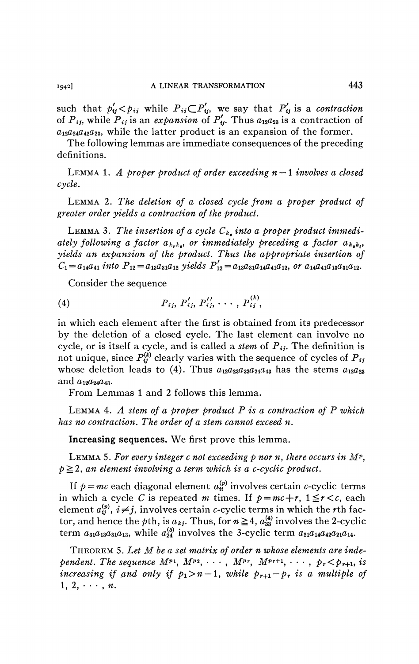such that  $p'_y < p_{ij}$  while  $P_{ij} \subset P'_y$ , we say that  $P'_y$  is a *contraction* of  $P_{ij}$ , while  $P_{ij}$  is an expansion of  $P'_{ij}$ . Thus  $a_{12}a_{23}$  is a contraction of  $a_{12}a_{24}a_{42}a_{23}$ , while the latter product is an expansion of the former.

The following lemmas are immediate consequences of the preceding definitions.

LEMMA 1. *A proper product of order exceeding*  $n - 1$  *involves a closed cycle.* 

LEMMA 2. *The deletion of a closed cycle from a proper product of greater order yields a contraction of the product.* 

LEMMA 3. *The insertion of a cycle Ck<sup>t</sup> into a proper product immediately following a factor*  $a_{k_r k_r}$ *, or immediately preceding a factor*  $a_{k_s k_t}$ *, yields an expansion of the product. Thus the appropriate insertion of*   $C_1 = a_{14}a_{41}$  into  $P_{12} = a_{13}a_{31}a_{12}$  yields  $P'_{12} = a_{13}a_{31}a_{14}a_{41}a_{12}$ *, or*  $a_{14}a_{41}a_{13}a_{31}a_{12}$ *.* 

Consider the sequence

(4) 
$$
P_{ij}, P'_{ij}, P''_{ij}, \cdots, P^{(k)}_{ij}
$$

in which each element after the first is obtained from its predecessor by the deletion of a closed cycle. The last element can involve no cycle, or is itself a cycle, and is called a *stem* of  $P_{ij}$ . The definition is not unique, since  $P_{ij}^{(k)}$  clearly varies with the sequence of cycles of  $P_{ij}$ whose deletion leads to (4). Thus  $a_{12}a_{23}a_{32}a_{24}a_{43}$  has the stems  $a_{12}a_{23}$ and  $a_{12}a_{24}a_{43}$ .

From Lemmas 1 and 2 follows this lemma.

LEMMA 4. *A stem of a proper product P is a contraction of P which has no contraction. The order of a stem cannot exceed n.* 

**Increasing sequences.** We first prove this lemma.

LEMMA 5. For every integer c not exceeding  $p$  nor n, there occurs in  $M^p$ ,  $p \geq 2$ , an element involving a term which is a c-cyclic product.

If  $p = mc$  each diagonal element  $a^{(p)}_u$  involves certain c-cyclic terms in which a cycle *C* is repeated *m* times. If  $p = mc + r$ ,  $1 \le r < c$ , each element  $a_{ij}^{(p)}$ ,  $i \neq j$ , involves certain c-cyclic terms in which the rth factor, and hence the pth, is  $a_{kj}$ . Thus, for  $n \geq 4$ ,  $a_{33}^{(4)}$  involves the 2-cyclic term  $a_{31}a_{13}a_{31}a_{13}$ , while  $a_{24}^{(5)}$  involves the 3-cyclic term  $a_{21}a_{14}a_{42}a_{21}a_{14}$ .

THEOREM 5. *Let M be a set matrix of order n whose elements are independent. The sequence*  $M^{p_1}, M^{p_2}, \cdots, M^{p_r}, M^{p_{r+1}}, \cdots, p_r < p_{r+1},$  is *increasing if and only if*  $p_1 > n - 1$ *, while*  $p_{r+1} - p_r$  *is a multiple of*  $1, 2, \cdots, n.$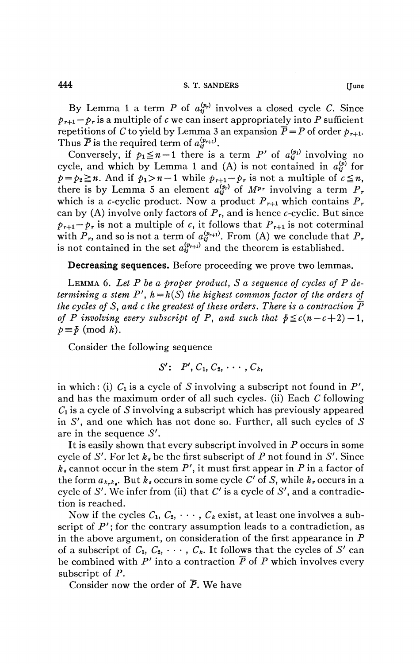By Lemma 1 a term P of  $a_{ij}^{(p_r)}$  involves a closed cycle C. Since  $p_{r+1}-p_r$  is a multiple of *c* we can insert appropriately into *P* sufficient repetitions of *C* to yield by Lemma 3 an expansion  $\overline{P} = P$  of order  $p_{r+1}$ . Thus  $\overline{P}$  is the required term of  $a^{(p_{r+1})}_{ij}$ .

Conversely, if  $p_1 \leq n-1$  there is a term *P'* of  $a^{(p_1)}_{ij}$  involving no cycle, and which by Lemma 1 and (A) is not contained in  $a_{ij}^{(p)}$  for  $p = p_2 \ge n$ . And if  $p_1 > n - 1$  while  $p_{r+1} - p_r$  is not a multiple of  $c \le n$ , there is by Lemma 5 an element  $a_{ij}^{(p_r)}$  of  $M^{p_r}$  involving a term  $P_r$ which is a c-cyclic product. Now a product  $P_{r+1}$  which contains  $P_r$ can by (A) involve only factors of  $P_r$ , and is hence c-cyclic. But since  $p_{r+1} - p_r$  is not a multiple of *c*, it follows that  $P_{r+1}$  is not coterminal with  $P_r$ , and so is not a term of  $a^{(p_{r+1})}_{ij}$ . From (A) we conclude that  $P_r$ is not contained in the set  $a_{ii}^{(p_{r+1})}$  and the theorem is established.

**Decreasing sequences.** Before proceeding we prove two lemmas.

LEMMA 6. *Let P be a proper product, S a sequence of cycles of P determining a stem P',*  $h = h(S)$  *the highest common factor of the orders of the cycles of S*, and c the greatest of these orders. There is a contraction  $\overline{P}$ *of P involving every subscript of P, and such that*  $\bar{p} \leq c(n-c+2) - 1$ ,  $p \equiv \bar{p} \pmod{h}$ .

Consider the following sequence

$$
S': P', C_1, C_2, \cdots, C_k,
$$

in which: (i)  $C_1$  is a cycle of *S* involving a subscript not found in  $P'$ , and has the maximum order of all such cycles, (ii) Each *C* following *C\* is a cycle of *S* involving a subscript which has previously appeared in  $S'$ , and one which has not done so. Further, all such cycles of  $S$ are in the sequence *S'.* 

It is easily shown that every subscript involved in P occurs in some cycle of *S'.* For let *k<sup>s</sup>* be the first subscript of P not found in *S'.* Since  $k_s$  cannot occur in the stem  $P'$ , it must first appear in  $P$  in a factor of the form  $a_{k_r k_\ell}$ . But  $k_s$  occurs in some cycle  $C'$  of  $S$ , while  $k_r$  occurs in a cycle of 5'. We infer from (ii) that *C'* is a cycle of *S',* and a contradiction is reached.

Now if the cycles  $C_1, C_2, \cdots, C_k$  exist, at least one involves a subscript of  $P'$ ; for the contrary assumption leads to a contradiction, as in the above argument, on consideration of the first appearance in  $P$ of a subscript of  $C_1, C_2, \cdots, C_k$ . It follows that the cycles of S' can be combined with  $P'$  into a contraction  $\overline{P}$  of P which involves every subscript of P.

Consider now the order of  $\overline{P}$ . We have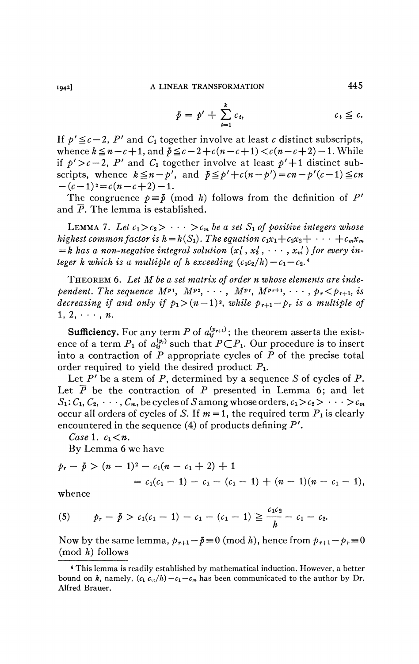**1942]** A LINEAR TRANSFORMATION **445** 

$$
\bar{p} = p' + \sum_{t=1}^{k} c_t, \qquad c_t \leq c.
$$

If  $p' \leq c-2$ , P' and  $C_1$  together involve at least c distinct subscripts, whence  $k \leq n - c + 1$ , and  $p \leq c - 2 + c(n - c + 1) < c(n - c + 2) - 1$ . While if  $p' > c - 2$ , P' and C<sub>1</sub> together involve at least  $p' + 1$  distinct subscripts, whence  $k \leq n - p'$ , and  $\bar{p} \leq p' + c(n-p') = cn - p'(c-1) \leq cn$  $-(c-1)^2 = c(n-c+2) - 1.$ 

The congruence  $p \equiv \bar{p} \pmod{h}$  follows from the definition of P' and  $\bar{P}$ . The lemma is established.

LEMMA 7. Let  $c_1 > c_2 > \cdots > c_m$  be a set  $S_1$  of positive integers whose *highest common factor is h* =  $h(S_1)$ . The equation  $c_1x_1+c_2x_2+\cdots+c_mx_m$  $= k$  has a non-negative integral solution  $(x_1', x_2', \dots, x_m')$  for every in*teger k which is a multiple of h exceeding*  $(c_1c_2/h) - c_1 - c_2$ .

THEOREM 6. *Let M be a set matrix of order n whose elements are independent. The sequence*  $M^{p_1}$ ,  $M^{p_2}$ ,  $\cdots$ ,  $M^{p_r}$ ,  $M^{p_{r+1}}$ ,  $\cdots$ ,  $p_r < p_{r+1}$ , is *decreasing if and only if*  $p_1 > (n-1)^2$ , while  $p_{r+1} - p_r$  is a multiple of  $1, 2, \cdots, n.$ 

**Sufficiency.** For any term P of  $a^{(p_{r+1})}_{ij}$ ; the theorem asserts the existence of a term  $P_1$  of  $a_{ij}^{(p_r)}$  such that  $P \subset P_1$ . Our procedure is to insert into a contraction of *P* appropriate cycles of *P* of the precise total order required to yield the desired product  $P_1$ .

Let *P'* be a stem of P, determined by a sequence *S* of cycles of P. Let  $\overline{P}$  be the contraction of  $P$  presented in Lemma 6; and let  $S_1: C_1, C_2, \cdots, C_m$ , be cycles of S among whose orders,  $c_1 > c_2 > \cdots > c_m$ occur all orders of cycles of *S*. If  $m = 1$ , the required term  $P_1$  is clearly encountered in the sequence (4) of products defining *P'.* 

*Case* 1.  $c_1 < n$ .

By Lemma 6 we have

$$
p_r - \bar{p} > (n-1)^2 - c_1(n-c_1+2) + 1
$$
  
= c\_1(c\_1-1) - c\_1 - (c\_1-1) + (n-1)(n-c\_1-1),

whence

(5) 
$$
p_r - \bar{p} > c_1(c_1 - 1) - c_1 - (c_1 - 1) \geq \frac{c_1 c_2}{h} - c_1 - c_2.
$$

Now by the same lemma,  $p_{r+1} - \bar{p} \equiv 0 \pmod{h}$ , hence from  $p_{r+1} - p_{r} \equiv 0$  $(mod h)$  follows

<sup>4</sup> This lemma is readily established by mathematical induction. However, a better bound on *k*, namely,  $(c_1 c_m/h) - c_1 - c_m$  has been communicated to the author by Dr. Alfred Brauer.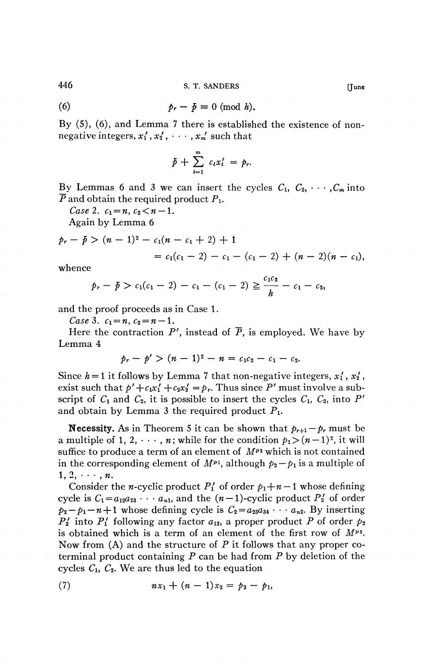446 **S. T. SANDERS [June** 

(6) 
$$
p_r - \bar{p} \equiv 0 \pmod{h}.
$$

By (5), (6), and Lemma 7 there is established the existence of nonnegative integers,  $x'_1$ ,  $x'_2$ ,  $\cdots$ ,  $x'_m$  such that

$$
\bar{p}+\sum_{t=1}^m c_tx'_t=p_r.
$$

By Lemmas 6 and 3 we can insert the cycles  $C_1, C_2, \cdots, C_m$  into  $\overline{P}$  and obtain the required product  $P_1$ .

*Case 2.*  $c_1 = n$ ,  $c_2 < n - 1$ .

Again by Lemma 6

$$
p_r - \bar{p} > (n-1)^2 - c_1(n - c_1 + 2) + 1
$$
  
=  $c_1(c_1 - 2) - c_1 - (c_1 - 2) + (n-2)(n - c_1),$ 

whence

$$
p_r - \bar{p} > c_1(c_1 - 2) - c_1 - (c_1 - 2) \geq \frac{c_1c_2}{h} - c_1 - c_2,
$$

and the proof proceeds as in Case 1.

*Case* 3.  $c_1 = n$ ,  $c_2 = n - 1$ .

Here the contraction  $P'$ , instead of  $\overline{P}$ , is employed. We have by Lemma 4

$$
p_r-p'>(n-1)^2-n=c_1c_2-c_1-c_2.
$$

Since  $h = 1$  it follows by Lemma 7 that non-negative integers,  $x_1, x_2,$ exist such that  $p' + c_1x_1' + c_2x_2' = p_r$ . Thus since P' must involve a subscript of  $C_1$  and  $C_2$ , it is possible to insert the cycles  $C_1$ ,  $C_2$ , into P' and obtain by Lemma 3 the required product  $P_1$ .

**Necessity.** As in Theorem 5 it can be shown that  $p_{r+1} - p_r$  must be a multiple of 1, 2,  $\dots$ , *n*; while for the condition  $p_1 > (n-1)^2$ , it will suffice to produce a term of an element of *Mp2* which is not contained in the corresponding element of  $M^{p_1}$ , although  $p_2 - p_1$  is a multiple of  $1, 2, \cdots, n$ .

Consider the *n*-cyclic product  $P'_1$  of order  $p_1+n-1$  whose defining cycle is  $C_1 = a_{12}a_{23} \cdots a_{n1}$ , and the  $(n-1)$ -cyclic product  $P'_2$  of order  $p_2 - p_1 - n + 1$  whose defining cycle is  $C_2 = a_{23}a_{34} \cdots a_{n2}$ . By inserting  $P_2'$  into  $P_1'$  following any factor  $a_{12}$ , a proper product P of order  $p_2$ is obtained which is a term of an element of the first row of *Mp2 .*  Now from  $(A)$  and the structure of P it follows that any proper coterminal product containing  $P$  can be had from  $P$  by deletion of the cycles  $C_1$ ,  $C_2$ . We are thus led to the equation

(7) 
$$
nx_1 + (n-1)x_2 = p_2 - p_1,
$$